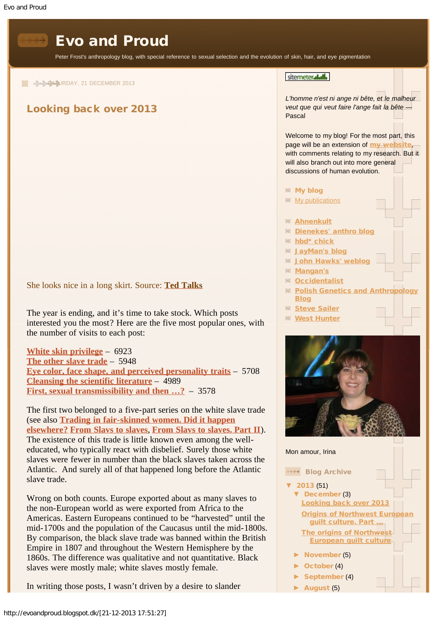<span id="page-0-0"></span>

► [October](http://evoandproud.blogspot.dk/2013_10_01_archive.html) (4) ► [September](http://evoandproud.blogspot.dk/2013_09_01_archive.html) (4) ► [August](http://evoandproud.blogspot.dk/2013_08_01_archive.html) (5)

slaves were mostly male; white slaves mostly female.

In writing those posts, I wasn't driven by a desire to slander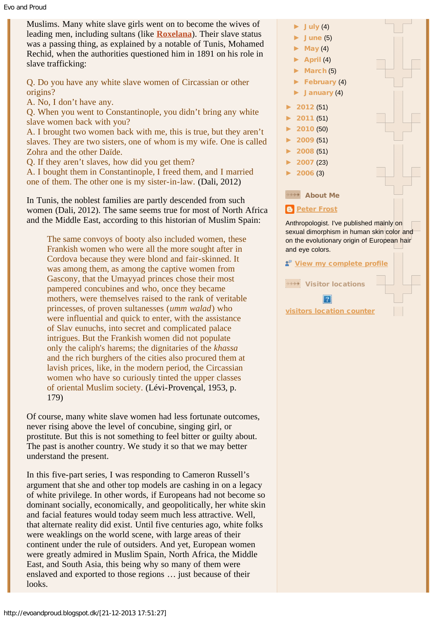Muslims. Many white slave girls went on to become the wives of leading men, including sultans (like **[Roxelana](http://en.wikipedia.org/wiki/Roxelana)**). Their slave status was a passing thing, as explained by a notable of Tunis, Mohamed Rechid, when the authorities questioned him in 1891 on his role in slave trafficking:

Q. Do you have any white slave women of Circassian or other origins?

A. No, I don't have any.

Q. When you went to Constantinople, you didn't bring any white slave women back with you?

A. I brought two women back with me, this is true, but they aren't slaves. They are two sisters, one of whom is my wife. One is called Zohra and the other Daïde.

Q. If they aren't slaves, how did you get them?

A. I bought them in Constantinople, I freed them, and I married one of them. The other one is my sister-in-law. (Dali, 2012)

In Tunis, the noblest families are partly descended from such women (Dali, 2012). The same seems true for most of North Africa and the Middle East, according to this historian of Muslim Spain:

The same convoys of booty also included women, these Frankish women who were all the more sought after in Cordova because they were blond and fair-skinned. It was among them, as among the captive women from Gascony, that the Umayyad princes chose their most pampered concubines and who, once they became mothers, were themselves raised to the rank of veritable princesses, of proven sultanesses (*umm walad*) who were influential and quick to enter, with the assistance of Slav eunuchs, into secret and complicated palace intrigues. But the Frankish women did not populate only the caliph's harems; the dignitaries of the *khassa* and the rich burghers of the cities also procured them at lavish prices, like, in the modern period, the Circassian women who have so curiously tinted the upper classes of oriental Muslim society. (Lévi-Provençal, 1953, p. 179)

Of course, many white slave women had less fortunate outcomes, never rising above the level of concubine, singing girl, or prostitute. But this is not something to feel bitter or guilty about. The past is another country. We study it so that we may better understand the present.

In this five-part series, I was responding to Cameron Russell's argument that she and other top models are cashing in on a legacy of white privilege. In other words, if Europeans had not become so dominant socially, economically, and geopolitically, her white skin and facial features would today seem much less attractive. Well, that alternate reality did exist. Until five centuries ago, white folks were weaklings on the world scene, with large areas of their continent under the rule of outsiders. And yet, European women were greatly admired in Muslim Spain, North Africa, the Middle East, and South Asia, this being why so many of them were enslaved and exported to those regions … just because of their looks.

► [July](http://evoandproud.blogspot.dk/2013_07_01_archive.html) (4)

- [June](http://evoandproud.blogspot.dk/2013_06_01_archive.html) (5)
- [May](http://evoandproud.blogspot.dk/2013_05_01_archive.html)  $(4)$
- ► [April](http://evoandproud.blogspot.dk/2013_04_01_archive.html) (4)
- [March](http://evoandproud.blogspot.dk/2013_03_01_archive.html) (5)
- ► [February](http://evoandproud.blogspot.dk/2013_02_01_archive.html) (4) [January](http://evoandproud.blogspot.dk/2013_01_01_archive.html) (4)
- 
- ► [2012](http://evoandproud.blogspot.dk/search?updated-min=2012-01-01T00:00:00-05:00&updated-max=2013-01-01T00:00:00-05:00&max-results=50) (51) ► [2011](http://evoandproud.blogspot.dk/search?updated-min=2011-01-01T00:00:00-05:00&updated-max=2012-01-01T00:00:00-05:00&max-results=50) (51)
- ► [2010](http://evoandproud.blogspot.dk/search?updated-min=2010-01-01T00:00:00-05:00&updated-max=2011-01-01T00:00:00-05:00&max-results=50) (50)
- ► [2009](http://evoandproud.blogspot.dk/search?updated-min=2009-01-01T00:00:00-05:00&updated-max=2010-01-01T00:00:00-05:00&max-results=50) (51)
- 
- ► [2008](http://evoandproud.blogspot.dk/search?updated-min=2008-01-01T00:00:00-05:00&updated-max=2009-01-01T00:00:00-05:00&max-results=50) (51)
- ► [2007](http://evoandproud.blogspot.dk/search?updated-min=2007-01-01T00:00:00-05:00&updated-max=2008-01-01T00:00:00-05:00&max-results=23) (23)  $2006(3)$  $2006(3)$

About Me

## **[Peter Frost](http://www.blogger.com/profile/04303172060029254340)**

Anthropologist. I've published mainly on sexual dimorphism in human skin color and on the evolutionary origin of European hair and eye colors.

[View my complete profile](http://www.blogger.com/profile/04303172060029254340)

Visitor locations

[visitors location counter](http://basicstat.com/maps/)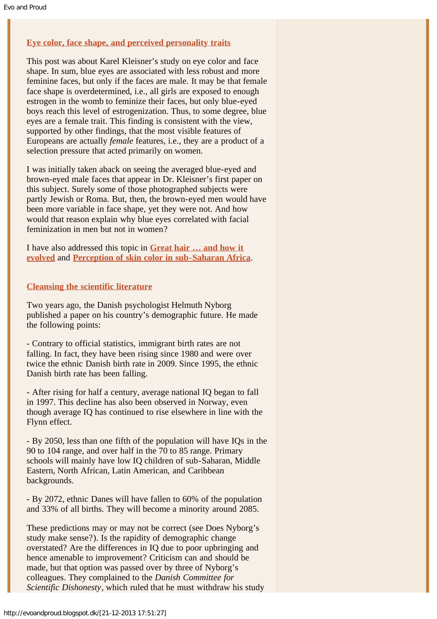# **[Eye color, face shape, and perceived personality traits](http://evoandproud.blogspot.ca/2013/01/eye-color-face-shape-and-perceived.html)**

This post was about Karel Kleisner's study on eye color and face shape. In sum, blue eyes are associated with less robust and more feminine faces, but only if the faces are male. It may be that female face shape is overdetermined, i.e., all girls are exposed to enough estrogen in the womb to feminize their faces, but only blue-eyed boys reach this level of estrogenization. Thus, to some degree, blue eyes are a female trait. This finding is consistent with the view, supported by other findings, that the most visible features of Europeans are actually *female* features, i.e., they are a product of a selection pressure that acted primarily on women.

I was initially taken aback on seeing the averaged blue-eyed and brown-eyed male faces that appear in Dr. Kleisner's first paper on this subject. Surely some of those photographed subjects were partly Jewish or Roma. But, then, the brown-eyed men would have been more variable in face shape, yet they were not. And how would that reason explain why blue eyes correlated with facial feminization in men but not in women?

I have also addressed this topic in **[Great hair … and how it](http://evoandproud.blogspot.ca/2013/08/great-hair-and-how-it-evolved.html) [evolved](http://evoandproud.blogspot.ca/2013/08/great-hair-and-how-it-evolved.html)** and **[Perception of skin color in sub-Saharan Africa](http://evoandproud.blogspot.ca/2013/08/perception-of-skin-color-in-sub-saharan.html)**.

### **[Cleansing the scientific literature](http://evoandproud.blogspot.ca/2013/11/cleansing-scientific-literature.html)**

Two years ago, the Danish psychologist Helmuth Nyborg published a paper on his country's demographic future. He made the following points:

- Contrary to official statistics, immigrant birth rates are not falling. In fact, they have been rising since 1980 and were over twice the ethnic Danish birth rate in 2009. Since 1995, the ethnic Danish birth rate has been falling.

- After rising for half a century, average national IQ began to fall in 1997. This decline has also been observed in Norway, even though average IQ has continued to rise elsewhere in line with the Flynn effect.

- By 2050, less than one fifth of the population will have IQs in the 90 to 104 range, and over half in the 70 to 85 range. Primary schools will mainly have low IQ children of sub-Saharan, Middle Eastern, North African, Latin American, and Caribbean backgrounds.

- By 2072, ethnic Danes will have fallen to 60% of the population and 33% of all births. They will become a minority around 2085.

These predictions may or may not be correct (see Does Nyborg's study make sense?). Is the rapidity of demographic change overstated? Are the differences in IQ due to poor upbringing and hence amenable to improvement? Criticism can and should be made, but that option was passed over by three of Nyborg's colleagues. They complained to the *Danish Committee for Scientific Dishonesty*, which ruled that he must withdraw his study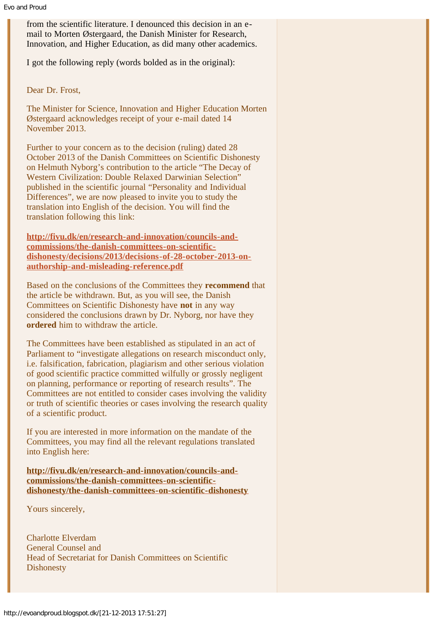from the scientific literature. I denounced this decision in an email to Morten Østergaard, the Danish Minister for Research, Innovation, and Higher Education, as did many other academics.

I got the following reply (words bolded as in the original):

Dear Dr. Frost,

The Minister for Science, Innovation and Higher Education Morten Østergaard acknowledges receipt of your e-mail dated 14 November 2013.

Further to your concern as to the decision (ruling) dated 28 October 2013 of the Danish Committees on Scientific Dishonesty on Helmuth Nyborg's contribution to the article "The Decay of Western Civilization: Double Relaxed Darwinian Selection" published in the scientific journal "Personality and Individual Differences", we are now pleased to invite you to study the translation into English of the decision. You will find the translation following this link:

**[http://fivu.dk/en/research-and-innovation/councils-and](http://fivu.dk/en/research-and-innovation/councils-and-commissions/the-danish-committees-on-scientific-dishonesty/decisions/2013/decisions-of-28-october-2013-on-authorship-and-misleading-reference.pdf)[commissions/the-danish-committees-on-scientific](http://fivu.dk/en/research-and-innovation/councils-and-commissions/the-danish-committees-on-scientific-dishonesty/decisions/2013/decisions-of-28-october-2013-on-authorship-and-misleading-reference.pdf)[dishonesty/decisions/2013/decisions-of-28-october-2013-on](http://fivu.dk/en/research-and-innovation/councils-and-commissions/the-danish-committees-on-scientific-dishonesty/decisions/2013/decisions-of-28-october-2013-on-authorship-and-misleading-reference.pdf)[authorship-and-misleading-reference.pdf](http://fivu.dk/en/research-and-innovation/councils-and-commissions/the-danish-committees-on-scientific-dishonesty/decisions/2013/decisions-of-28-october-2013-on-authorship-and-misleading-reference.pdf)**

Based on the conclusions of the Committees they **recommend** that the article be withdrawn. But, as you will see, the Danish Committees on Scientific Dishonesty have **not** in any way considered the conclusions drawn by Dr. Nyborg, nor have they **ordered** him to withdraw the article.

The Committees have been established as stipulated in an act of Parliament to "investigate allegations on research misconduct only, i.e. falsification, fabrication, plagiarism and other serious violation of good scientific practice committed wilfully or grossly negligent on planning, performance or reporting of research results". The Committees are not entitled to consider cases involving the validity or truth of scientific theories or cases involving the research quality of a scientific product.

If you are interested in more information on the mandate of the Committees, you may find all the relevant regulations translated into English here:

**[http://fivu.dk/en/research-and-innovation/councils-and](http://fivu.dk/en/research-and-innovation/councils-and-commissions/the-danish-committees-on-scientific-dishonesty/the-danish-committees-on-scientific-dishonesty)[commissions/the-danish-committees-on-scientific](http://fivu.dk/en/research-and-innovation/councils-and-commissions/the-danish-committees-on-scientific-dishonesty/the-danish-committees-on-scientific-dishonesty)[dishonesty/the-danish-committees-on-scientific-dishonesty](http://fivu.dk/en/research-and-innovation/councils-and-commissions/the-danish-committees-on-scientific-dishonesty/the-danish-committees-on-scientific-dishonesty)**

Yours sincerely,

Charlotte Elverdam General Counsel and Head of Secretariat for Danish Committees on Scientific **Dishonesty**